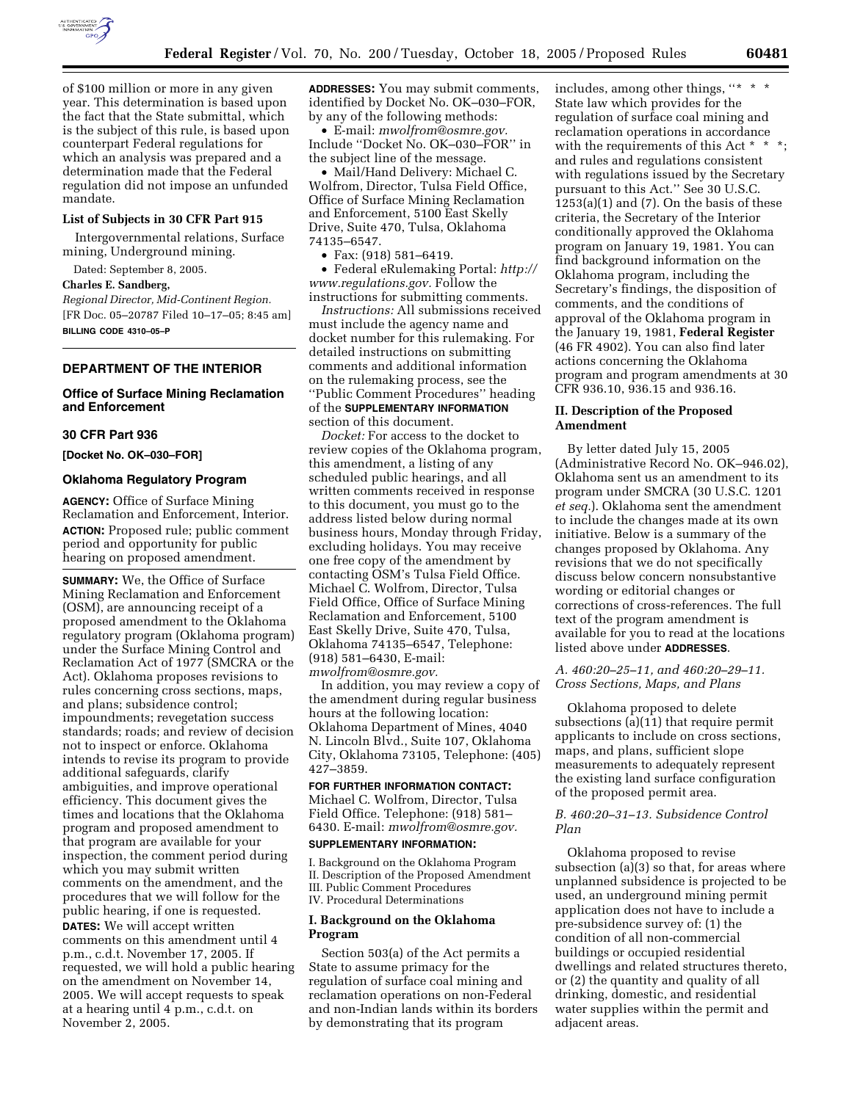

of \$100 million or more in any given year. This determination is based upon the fact that the State submittal, which is the subject of this rule, is based upon counterpart Federal regulations for which an analysis was prepared and a determination made that the Federal regulation did not impose an unfunded mandate.

# **List of Subjects in 30 CFR Part 915**

Intergovernmental relations, Surface mining, Underground mining.

Dated: September 8, 2005.

#### **Charles E. Sandberg,**

*Regional Director, Mid-Continent Region.*  [FR Doc. 05–20787 Filed 10–17–05; 8:45 am] **BILLING CODE 4310–05–P** 

## **DEPARTMENT OF THE INTERIOR**

## **Office of Surface Mining Reclamation and Enforcement**

# **30 CFR Part 936**

**[Docket No. OK–030–FOR]** 

#### **Oklahoma Regulatory Program**

**AGENCY:** Office of Surface Mining Reclamation and Enforcement, Interior. **ACTION:** Proposed rule; public comment period and opportunity for public hearing on proposed amendment.

**SUMMARY:** We, the Office of Surface Mining Reclamation and Enforcement (OSM), are announcing receipt of a proposed amendment to the Oklahoma regulatory program (Oklahoma program) under the Surface Mining Control and Reclamation Act of 1977 (SMCRA or the Act). Oklahoma proposes revisions to rules concerning cross sections, maps, and plans; subsidence control; impoundments; revegetation success standards; roads; and review of decision not to inspect or enforce. Oklahoma intends to revise its program to provide additional safeguards, clarify ambiguities, and improve operational efficiency. This document gives the times and locations that the Oklahoma program and proposed amendment to that program are available for your inspection, the comment period during which you may submit written comments on the amendment, and the procedures that we will follow for the public hearing, if one is requested. **DATES:** We will accept written

comments on this amendment until 4 p.m., c.d.t. November 17, 2005. If requested, we will hold a public hearing on the amendment on November 14, 2005. We will accept requests to speak at a hearing until 4 p.m., c.d.t. on November 2, 2005.

**ADDRESSES:** You may submit comments, identified by Docket No. OK–030–FOR, by any of the following methods:

• E-mail: *mwolfrom@osmre.gov.*  Include ''Docket No. OK–030–FOR'' in the subject line of the message.

• Mail/Hand Delivery: Michael C. Wolfrom, Director, Tulsa Field Office, Office of Surface Mining Reclamation and Enforcement, 5100 East Skelly Drive, Suite 470, Tulsa, Oklahoma 74135–6547.

• Fax: (918) 581–6419.

• Federal eRulemaking Portal: *http:// www.regulations.gov.* Follow the instructions for submitting comments.

*Instructions:* All submissions received must include the agency name and docket number for this rulemaking. For detailed instructions on submitting comments and additional information on the rulemaking process, see the ''Public Comment Procedures'' heading of the **SUPPLEMENTARY INFORMATION** section of this document.

*Docket:* For access to the docket to review copies of the Oklahoma program, this amendment, a listing of any scheduled public hearings, and all written comments received in response to this document, you must go to the address listed below during normal business hours, Monday through Friday, excluding holidays. You may receive one free copy of the amendment by contacting OSM's Tulsa Field Office. Michael C. Wolfrom, Director, Tulsa Field Office, Office of Surface Mining Reclamation and Enforcement, 5100 East Skelly Drive, Suite 470, Tulsa, Oklahoma 74135–6547, Telephone: (918) 581–6430, E-mail: *mwolfrom@osmre.gov.* 

In addition, you may review a copy of the amendment during regular business hours at the following location: Oklahoma Department of Mines, 4040 N. Lincoln Blvd., Suite 107, Oklahoma City, Oklahoma 73105, Telephone: (405) 427–3859.

# **FOR FURTHER INFORMATION CONTACT:**

Michael C. Wolfrom, Director, Tulsa Field Office. Telephone: (918) 581– 6430. E-mail: *mwolfrom@osmre.gov.*  **SUPPLEMENTARY INFORMATION:** 

I. Background on the Oklahoma Program II. Description of the Proposed Amendment III. Public Comment Procedures IV. Procedural Determinations

### **I. Background on the Oklahoma Program**

Section 503(a) of the Act permits a State to assume primacy for the regulation of surface coal mining and reclamation operations on non-Federal and non-Indian lands within its borders by demonstrating that its program

includes, among other things, ''\* \* \* State law which provides for the regulation of surface coal mining and reclamation operations in accordance with the requirements of this Act \* and rules and regulations consistent with regulations issued by the Secretary pursuant to this Act.'' See 30 U.S.C.  $1253(a)(1)$  and  $(7)$ . On the basis of these criteria, the Secretary of the Interior conditionally approved the Oklahoma program on January 19, 1981. You can find background information on the Oklahoma program, including the Secretary's findings, the disposition of comments, and the conditions of approval of the Oklahoma program in the January 19, 1981, **Federal Register**  (46 FR 4902). You can also find later actions concerning the Oklahoma program and program amendments at 30 CFR 936.10, 936.15 and 936.16.

# **II. Description of the Proposed Amendment**

By letter dated July 15, 2005 (Administrative Record No. OK–946.02), Oklahoma sent us an amendment to its program under SMCRA (30 U.S.C. 1201 *et seq.*). Oklahoma sent the amendment to include the changes made at its own initiative. Below is a summary of the changes proposed by Oklahoma. Any revisions that we do not specifically discuss below concern nonsubstantive wording or editorial changes or corrections of cross-references. The full text of the program amendment is available for you to read at the locations listed above under **ADDRESSES**.

### *A. 460:20–25–11, and 460:20–29–11. Cross Sections, Maps, and Plans*

Oklahoma proposed to delete subsections (a)(11) that require permit applicants to include on cross sections, maps, and plans, sufficient slope measurements to adequately represent the existing land surface configuration of the proposed permit area.

# *B. 460:20–31–13. Subsidence Control Plan*

Oklahoma proposed to revise subsection (a)(3) so that, for areas where unplanned subsidence is projected to be used, an underground mining permit application does not have to include a pre-subsidence survey of: (1) the condition of all non-commercial buildings or occupied residential dwellings and related structures thereto, or (2) the quantity and quality of all drinking, domestic, and residential water supplies within the permit and adjacent areas.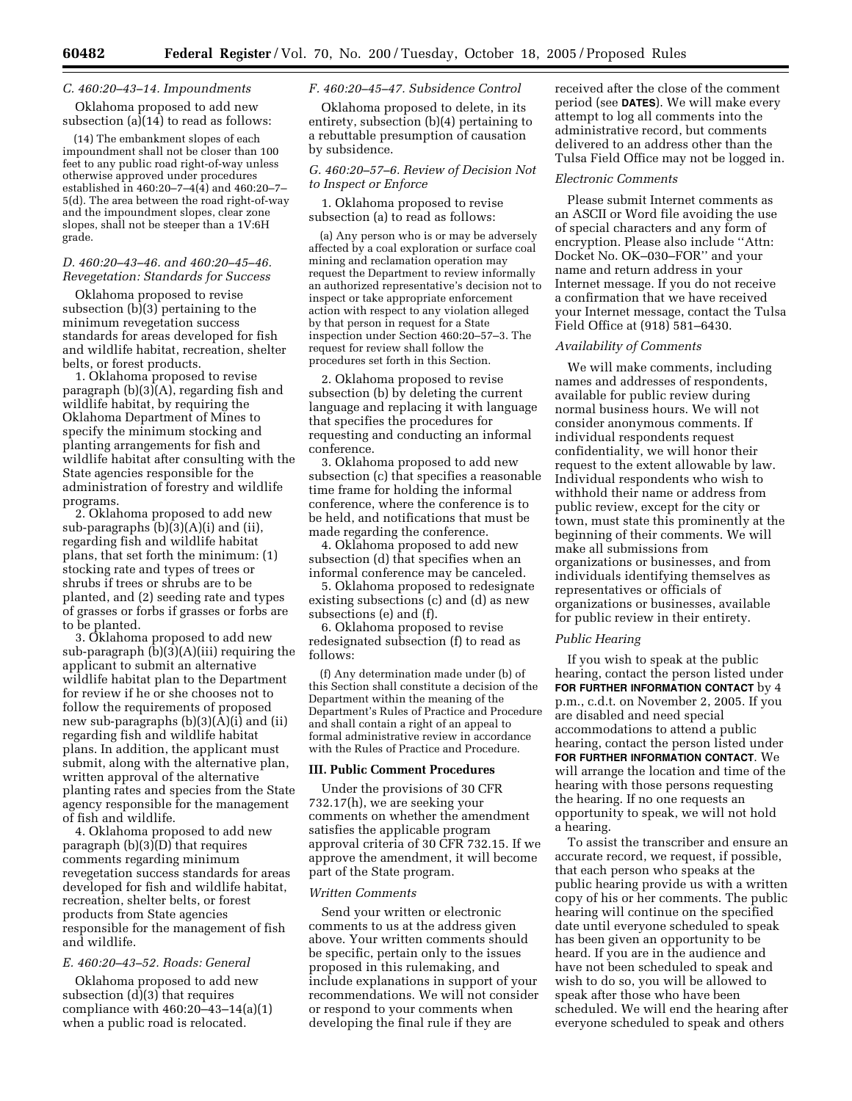# *C. 460:20–43–14. Impoundments*

Oklahoma proposed to add new subsection (a)(14) to read as follows:

(14) The embankment slopes of each impoundment shall not be closer than 100 feet to any public road right-of-way unless otherwise approved under procedures established in  $460:20 - 7 - 4(4)$  and  $460:20 - 7 -$ 5(d). The area between the road right-of-way and the impoundment slopes, clear zone slopes, shall not be steeper than a 1V:6H grade.

#### *D. 460:20–43–46. and 460:20–45–46. Revegetation: Standards for Success*

Oklahoma proposed to revise subsection (b)(3) pertaining to the minimum revegetation success standards for areas developed for fish and wildlife habitat, recreation, shelter belts, or forest products.

1. Oklahoma proposed to revise paragraph (b)(3)(A), regarding fish and wildlife habitat, by requiring the Oklahoma Department of Mines to specify the minimum stocking and planting arrangements for fish and wildlife habitat after consulting with the State agencies responsible for the administration of forestry and wildlife programs.

2. Oklahoma proposed to add new sub-paragraphs (b)(3)(A)(i) and (ii), regarding fish and wildlife habitat plans, that set forth the minimum: (1) stocking rate and types of trees or shrubs if trees or shrubs are to be planted, and (2) seeding rate and types of grasses or forbs if grasses or forbs are to be planted.

3. Oklahoma proposed to add new sub-paragraph (b)(3)(A)(iii) requiring the applicant to submit an alternative wildlife habitat plan to the Department for review if he or she chooses not to follow the requirements of proposed new sub-paragraphs (b)(3)(A)(i) and (ii) regarding fish and wildlife habitat plans. In addition, the applicant must submit, along with the alternative plan, written approval of the alternative planting rates and species from the State agency responsible for the management of fish and wildlife.

4. Oklahoma proposed to add new paragraph (b)(3)(D) that requires comments regarding minimum revegetation success standards for areas developed for fish and wildlife habitat, recreation, shelter belts, or forest products from State agencies responsible for the management of fish and wildlife.

### *E. 460:20–43–52. Roads: General*

Oklahoma proposed to add new subsection (d)(3) that requires compliance with 460:20–43–14(a)(1) when a public road is relocated.

#### *F. 460:20–45–47. Subsidence Control*

Oklahoma proposed to delete, in its entirety, subsection (b)(4) pertaining to a rebuttable presumption of causation by subsidence.

# *G. 460:20–57–6. Review of Decision Not to Inspect or Enforce*

1. Oklahoma proposed to revise subsection (a) to read as follows:

(a) Any person who is or may be adversely affected by a coal exploration or surface coal mining and reclamation operation may request the Department to review informally an authorized representative's decision not to inspect or take appropriate enforcement action with respect to any violation alleged by that person in request for a State inspection under Section 460:20–57–3. The request for review shall follow the procedures set forth in this Section.

2. Oklahoma proposed to revise subsection (b) by deleting the current language and replacing it with language that specifies the procedures for requesting and conducting an informal conference.

3. Oklahoma proposed to add new subsection (c) that specifies a reasonable time frame for holding the informal conference, where the conference is to be held, and notifications that must be made regarding the conference.

4. Oklahoma proposed to add new subsection (d) that specifies when an informal conference may be canceled.

5. Oklahoma proposed to redesignate existing subsections (c) and (d) as new subsections (e) and (f).

6. Oklahoma proposed to revise redesignated subsection (f) to read as follows:

(f) Any determination made under (b) of this Section shall constitute a decision of the Department within the meaning of the Department's Rules of Practice and Procedure and shall contain a right of an appeal to formal administrative review in accordance with the Rules of Practice and Procedure.

# **III. Public Comment Procedures**

Under the provisions of 30 CFR 732.17(h), we are seeking your comments on whether the amendment satisfies the applicable program approval criteria of 30 CFR 732.15. If we approve the amendment, it will become part of the State program.

### *Written Comments*

Send your written or electronic comments to us at the address given above. Your written comments should be specific, pertain only to the issues proposed in this rulemaking, and include explanations in support of your recommendations. We will not consider or respond to your comments when developing the final rule if they are

received after the close of the comment period (see **DATES**). We will make every attempt to log all comments into the administrative record, but comments delivered to an address other than the Tulsa Field Office may not be logged in.

#### *Electronic Comments*

Please submit Internet comments as an ASCII or Word file avoiding the use of special characters and any form of encryption. Please also include ''Attn: Docket No. OK–030–FOR'' and your name and return address in your Internet message. If you do not receive a confirmation that we have received your Internet message, contact the Tulsa Field Office at (918) 581–6430.

### *Availability of Comments*

We will make comments, including names and addresses of respondents, available for public review during normal business hours. We will not consider anonymous comments. If individual respondents request confidentiality, we will honor their request to the extent allowable by law. Individual respondents who wish to withhold their name or address from public review, except for the city or town, must state this prominently at the beginning of their comments. We will make all submissions from organizations or businesses, and from individuals identifying themselves as representatives or officials of organizations or businesses, available for public review in their entirety.

### *Public Hearing*

If you wish to speak at the public hearing, contact the person listed under **FOR FURTHER INFORMATION CONTACT** by 4 p.m., c.d.t. on November 2, 2005. If you are disabled and need special accommodations to attend a public hearing, contact the person listed under **FOR FURTHER INFORMATION CONTACT**. We will arrange the location and time of the hearing with those persons requesting the hearing. If no one requests an opportunity to speak, we will not hold a hearing.

To assist the transcriber and ensure an accurate record, we request, if possible, that each person who speaks at the public hearing provide us with a written copy of his or her comments. The public hearing will continue on the specified date until everyone scheduled to speak has been given an opportunity to be heard. If you are in the audience and have not been scheduled to speak and wish to do so, you will be allowed to speak after those who have been scheduled. We will end the hearing after everyone scheduled to speak and others